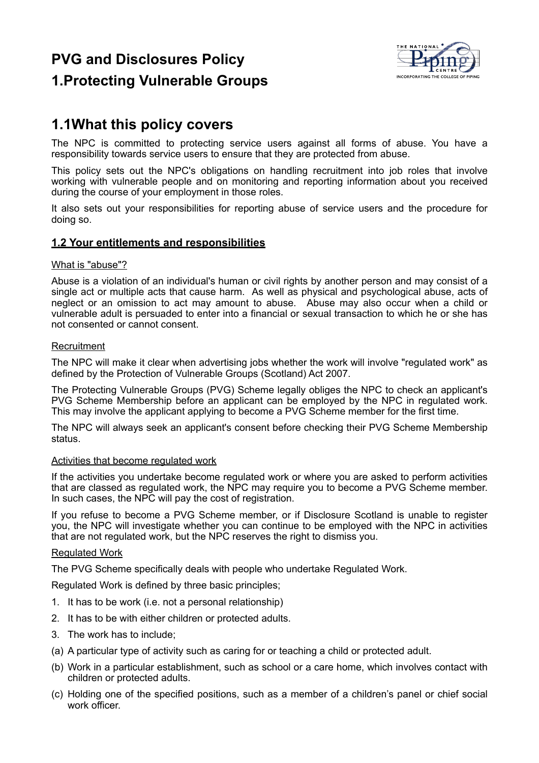# **PVG and Disclosures Policy**



## **1.Protecting Vulnerable Groups**

## **1.1What this policy covers**

The NPC is committed to protecting service users against all forms of abuse. You have a responsibility towards service users to ensure that they are protected from abuse.

This policy sets out the NPC's obligations on handling recruitment into job roles that involve working with vulnerable people and on monitoring and reporting information about you received during the course of your employment in those roles.

It also sets out your responsibilities for reporting abuse of service users and the procedure for doing so.

#### **1.2 Your entitlements and responsibilities**

#### What is "abuse"?

Abuse is a violation of an individual's human or civil rights by another person and may consist of a single act or multiple acts that cause harm. As well as physical and psychological abuse, acts of neglect or an omission to act may amount to abuse. Abuse may also occur when a child or vulnerable adult is persuaded to enter into a financial or sexual transaction to which he or she has not consented or cannot consent.

#### Recruitment

The NPC will make it clear when advertising jobs whether the work will involve "regulated work" as defined by the Protection of Vulnerable Groups (Scotland) Act 2007.

The Protecting Vulnerable Groups (PVG) Scheme legally obliges the NPC to check an applicant's PVG Scheme Membership before an applicant can be employed by the NPC in regulated work. This may involve the applicant applying to become a PVG Scheme member for the first time.

The NPC will always seek an applicant's consent before checking their PVG Scheme Membership status.

#### Activities that become regulated work

If the activities you undertake become regulated work or where you are asked to perform activities that are classed as regulated work, the NPC may require you to become a PVG Scheme member. In such cases, the NPC will pay the cost of registration.

If you refuse to become a PVG Scheme member, or if Disclosure Scotland is unable to register you, the NPC will investigate whether you can continue to be employed with the NPC in activities that are not regulated work, but the NPC reserves the right to dismiss you.

#### Regulated Work

The PVG Scheme specifically deals with people who undertake Regulated Work.

Regulated Work is defined by three basic principles;

- 1. It has to be work (i.e. not a personal relationship)
- 2. It has to be with either children or protected adults.
- 3. The work has to include;
- (a) A particular type of activity such as caring for or teaching a child or protected adult.
- (b) Work in a particular establishment, such as school or a care home, which involves contact with children or protected adults.
- (c) Holding one of the specified positions, such as a member of a children's panel or chief social work officer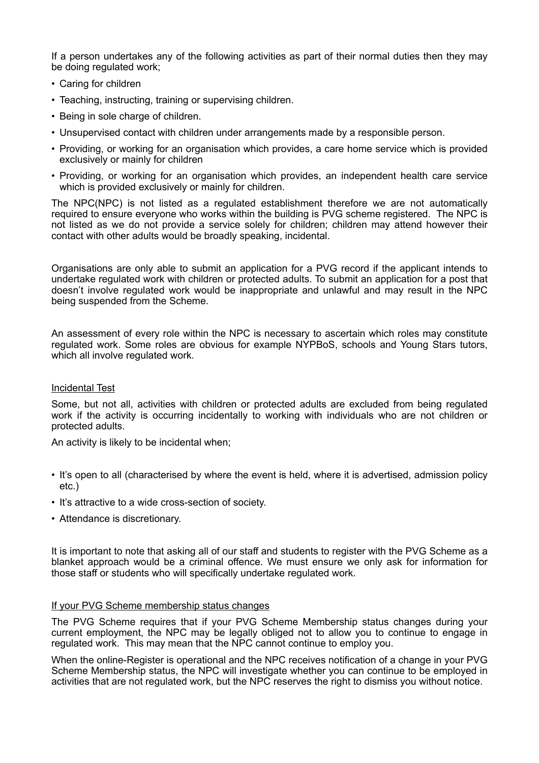If a person undertakes any of the following activities as part of their normal duties then they may be doing regulated work;

- Caring for children
- Teaching, instructing, training or supervising children.
- Being in sole charge of children.
- Unsupervised contact with children under arrangements made by a responsible person.
- Providing, or working for an organisation which provides, a care home service which is provided exclusively or mainly for children
- Providing, or working for an organisation which provides, an independent health care service which is provided exclusively or mainly for children.

The NPC(NPC) is not listed as a regulated establishment therefore we are not automatically required to ensure everyone who works within the building is PVG scheme registered. The NPC is not listed as we do not provide a service solely for children; children may attend however their contact with other adults would be broadly speaking, incidental.

Organisations are only able to submit an application for a PVG record if the applicant intends to undertake regulated work with children or protected adults. To submit an application for a post that doesn't involve regulated work would be inappropriate and unlawful and may result in the NPC being suspended from the Scheme.

An assessment of every role within the NPC is necessary to ascertain which roles may constitute regulated work. Some roles are obvious for example NYPBoS, schools and Young Stars tutors, which all involve regulated work.

#### Incidental Test

Some, but not all, activities with children or protected adults are excluded from being regulated work if the activity is occurring incidentally to working with individuals who are not children or protected adults.

An activity is likely to be incidental when;

- It's open to all (characterised by where the event is held, where it is advertised, admission policy etc.)
- It's attractive to a wide cross-section of society.
- Attendance is discretionary.

It is important to note that asking all of our staff and students to register with the PVG Scheme as a blanket approach would be a criminal offence. We must ensure we only ask for information for those staff or students who will specifically undertake regulated work.

#### If your PVG Scheme membership status changes

The PVG Scheme requires that if your PVG Scheme Membership status changes during your current employment, the NPC may be legally obliged not to allow you to continue to engage in regulated work. This may mean that the NPC cannot continue to employ you.

When the online-Register is operational and the NPC receives notification of a change in your PVG Scheme Membership status, the NPC will investigate whether you can continue to be employed in activities that are not regulated work, but the NPC reserves the right to dismiss you without notice.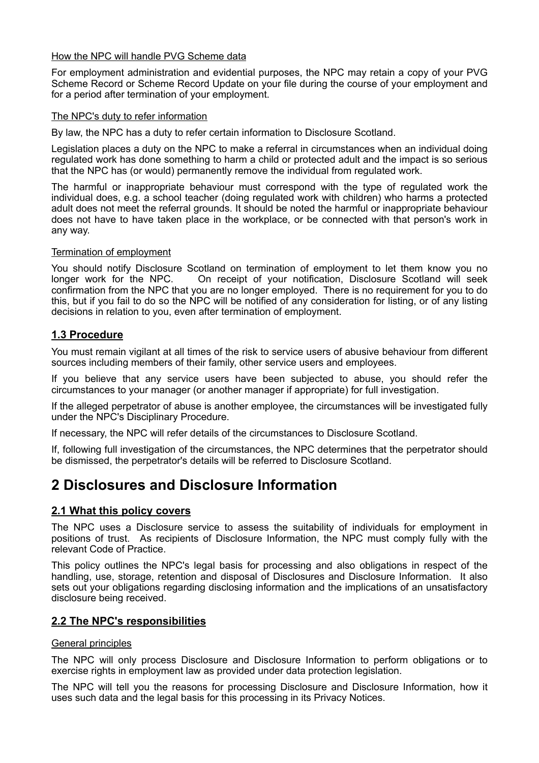#### How the NPC will handle PVG Scheme data

For employment administration and evidential purposes, the NPC may retain a copy of your PVG Scheme Record or Scheme Record Update on your file during the course of your employment and for a period after termination of your employment.

#### The NPC's duty to refer information

By law, the NPC has a duty to refer certain information to Disclosure Scotland.

Legislation places a duty on the NPC to make a referral in circumstances when an individual doing regulated work has done something to harm a child or protected adult and the impact is so serious that the NPC has (or would) permanently remove the individual from regulated work.

The harmful or inappropriate behaviour must correspond with the type of regulated work the individual does, e.g. a school teacher (doing regulated work with children) who harms a protected adult does not meet the referral grounds. It should be noted the harmful or inappropriate behaviour does not have to have taken place in the workplace, or be connected with that person's work in any way.

#### Termination of employment

You should notify Disclosure Scotland on termination of employment to let them know you no longer work for the NPC. On receipt of your notification, Disclosure Scotland will seek confirmation from the NPC that you are no longer employed. There is no requirement for you to do this, but if you fail to do so the NPC will be notified of any consideration for listing, or of any listing decisions in relation to you, even after termination of employment.

#### **1.3 Procedure**

You must remain vigilant at all times of the risk to service users of abusive behaviour from different sources including members of their family, other service users and employees.

If you believe that any service users have been subjected to abuse, you should refer the circumstances to your manager (or another manager if appropriate) for full investigation.

If the alleged perpetrator of abuse is another employee, the circumstances will be investigated fully under the NPC's Disciplinary Procedure.

If necessary, the NPC will refer details of the circumstances to Disclosure Scotland.

If, following full investigation of the circumstances, the NPC determines that the perpetrator should be dismissed, the perpetrator's details will be referred to Disclosure Scotland.

## **2 Disclosures and Disclosure Information**

#### **2.1 What this policy covers**

The NPC uses a Disclosure service to assess the suitability of individuals for employment in positions of trust. As recipients of Disclosure Information, the NPC must comply fully with the relevant Code of Practice.

This policy outlines the NPC's legal basis for processing and also obligations in respect of the handling, use, storage, retention and disposal of Disclosures and Disclosure Information. It also sets out your obligations regarding disclosing information and the implications of an unsatisfactory disclosure being received.

#### **2.2 The NPC's responsibilities**

#### General principles

The NPC will only process Disclosure and Disclosure Information to perform obligations or to exercise rights in employment law as provided under data protection legislation.

The NPC will tell you the reasons for processing Disclosure and Disclosure Information, how it uses such data and the legal basis for this processing in its Privacy Notices.